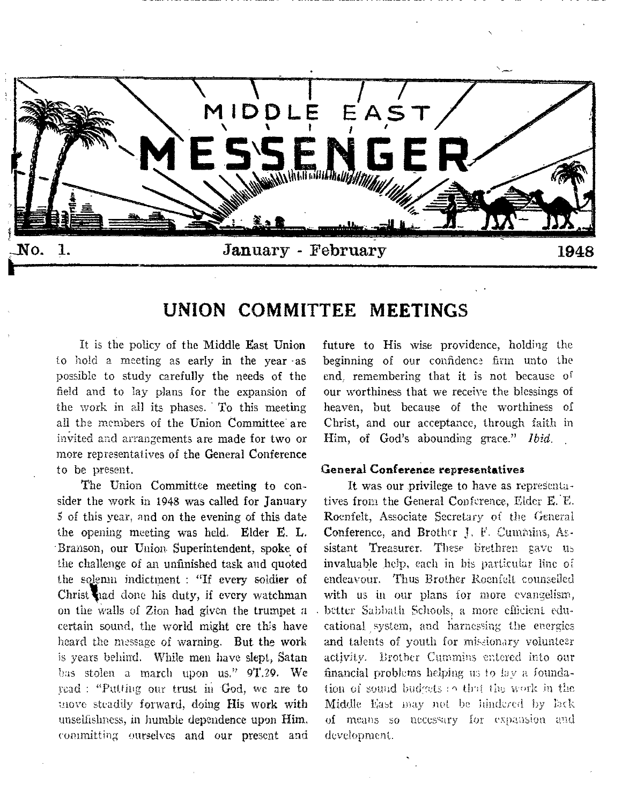

# **UNION COMMITTEE MEETINGS**

It is the policy of the Middle East Union to hold a meeting as early in the year -as possible to study carefully the needs of the field and to lay plans for the expansion of the work in all its phases. To this meeting all the members of the Union Committee are invited and arrangements are made for two or more representatives of the General Conference to be present.

The Union Committee meeting to consider the work in 1948 was called for January 5 of this year, and on the evening of this date the opening meeting was held. Elder E. L. •Branson, our Union. Superintendent, spoke of the challenge of an unfinished task and quoted the solemn indictment : "If every soldier of Christ had done his duty, if every watchman on the walls of Zion had given the trumpet a certain sound, the world might ere this have heard the message of warning. But the work is years behind. While men have slept, Satan has stolen a march upon us." 9T.29. We read : "Putting our trust in God, we are to move steadily forward, doing His work with unselfishness, in humble dependence upon Him, committing ourselves and our present and future to His wise providence, holding the beginning of our confidence firm unto the end, remembering that it is not because of our worthiness that we receive the blessings of heaven, but because of the worthiness of Christ, and our acceptance, through faith in Him, of God's abounding grace." *Ibid.* 

#### General Conference representatives

It was our privilege to have as representatives from the General Conference, Elder E.E. Roenfelt, Associate Secretary of the General Conference, and Brother J. F. Cummins, Assistant Treasurer. These brethren gave us invaluable help, each in his particular line of endeavour. Thus Brother Roenfelt counselled with us in our plans for more evangelism, better Sabbath Schools, a more efficient educational system, and harnessing the energies and talents of youth for missionary volunteer activity. Brother Cummins entered into our financial problems helping 113 to lay a foundation of sound budgets :  $\circ$  that the work in the Middle East may not be hindered by lack of means so necessary for expansion and development.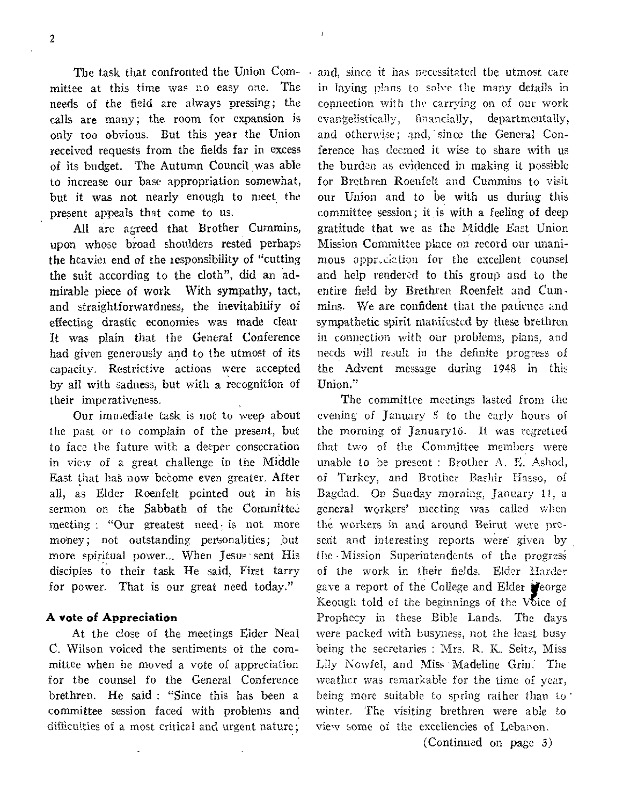2

The task that confronted the Union Committee at this time was no easy one. The needs of the field are always pressing; the calls are many; the room for expansion is only too obvious. But this year the Union received requests from the fields far in excess of its budget. The Autumn Council, was able to increase our base appropriation somewhat, but it was not nearly enough to meet the present appeals that come to us.

All are agreed that Brother Cummins, upon whose broad shoulders rested perhaps the heaviei end of the responsibility of "cutting the suit according to the cloth", did an admirable piece of work With sympathy, tact, and straightforwardness, the inevitability of effecting drastic economies was made clear It was plain that the General Conference had given generously and to the utmost of its capacity. Restrictive actions were accepted by all with sadness, but with a recognition of their imperativeness.

Our immediate task is not to weep about the past or to complain of the present, but to face the future with a deeper consecration in view of a great challenge in the Middle East that has now become even greater. After all, as Elder Roenfelt pointed out in his sermon on the Sabbath of the Committee meeting : "Our greatest need is not more money; not outstanding personalities; but more spiritual power... When Jesus sent His disciples to their task He said, First tarry for power. That is our great need today."

#### **A** vote of **Appreciation**

At the close of the meetings Eider Neal C. Wilson voiced the sentiments of the committee when he moved a vote of appreciation for the counsel fo the General Conference brethren. He said : "Since this has been a committee session faced with problems and difficulties of a most critical and urgent nature;

and, since it has necessitated the utmost care in laying plans to solve the many details in connection with the carrying on of our work evangelistically, financially, departmentally, and otherwise; and, since the General Conference has deemed it wise to share with us the burden as evidenced in making it possible for Brethren Roenfelt and Cummins to visit our Union and to be with us during this committee session; it is with a feeling of deep gratitude that we as the Middle East Union Mission Committee place on record our unanimous appr,ciztion for the escellent counsel and help rendered to this group and to the entire field by Brethren Roenfelt and Cummins. We are confident that the patience and sympathetic spirit manifested **by** these brethren in connection with our problems, plans, and needs will result in the definite progress of the Advent message during 194S in this Union."

ł

The committee meetings lasted from the evening of January 5 to the early hours of the morning of January16. It was regretted that two of the Committee members were unable to be present : Brother A. E. Ashod, of Turkey, and Brother Bashir Hasso, of Bagdad. On Sunday morning, January 11, a general workers' meeting was called when the workers in and around Beirut were present and interesting reports were given by the 'Mission Superintendents of the progresi of the work in their fields. Elder Harder gave a report of the College and Elder **P**eorge Keough told of the beginnings of the Voice of Prophecy in these Bible Lands. The days were packed with busyness, not the least busy being the secretaries : Mrs. R. K. Seitz, Miss Lily Nowfel, and Miss Madeline Grin: The weather was remarkable for the time of year, being more suitable to spring rather than to winter. The visiting brethren were able to view some of the excellencies of Lebanon.

(Continued on page 3)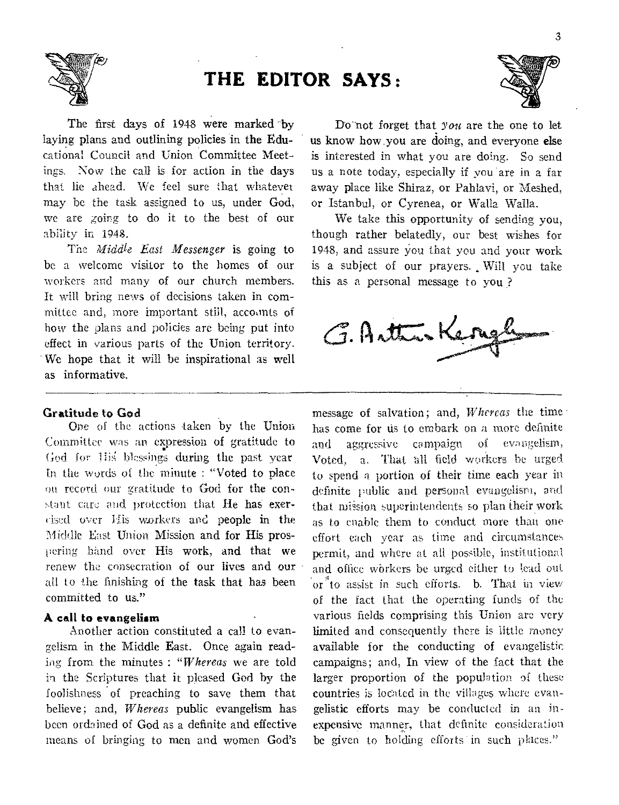

The first days of 1948 were marked by laying plans and outlining policies in the Educational Council and Union Committee Meetings. Now the call is for action in the days that lie ahead. We feel sure that whatever may be the task assigned to us, under God, we are going to do it to the best of our ability in 1948.

The *Middle East Messenger* is going to be a welcome visitor to the homes of our workers and many of our church members. It will bring news of decisions taken in committee and, more important still, accounts of how the plans and policies arc being put into effect in various parts of the Union territory. - We hope that it will he inspirational as well as informative.

### Gratitude to God

One of the actions taken by the Union Committee was an expression of gratitude to God for Ilis blessings during the past year In the words of the minute : "Voted to place on record our gratitude to God for the constant care and protection that He has exercised over His workers and people in the 'Middle East Union Mission and for His prospering hand over His work, and that we renew the consecration of our lives and our all to the finishing of the task that has been committed to us."

### A call to evangelism

Another action constituted a call to evangelism in the Middle East. Once again reading from the minutes : *"Whereas* we are told in the Scriptures that it pleased God by the foolishness of preaching to save them that believe; and, *Whereas* public evangelism has been ordained of God as a definite and effective means of bringing to men and women God's

Do-not forget that you are the one to let us know how.you are doing, and everyone else is interested in what you are doing. So send us a note today, especially if you are in a far away place like Shiraz, or Pahlavi, or Meshed, or Istanbul, or Cyrenea, or Walla Walla.

We take this opportunity of sending you, though rather belatedly, our best wishes for 1948, and assure You that you and your work is a subject of our prayers. Will you take this as a personal message to you?

G. Arttrakery

message of salvation; and, *Whereas* the time has come for us to embark on a more definite and aggressive campaign of evangelism, Voted, a. That all field workers be urged to spend a portion of their time each year in definite public and personal evangelism, and that mission superintendents so plan their work as to enable them to conduct more than one effort each year as time and circumstances permit, and where at all possible, institutional and office wbrkers be urged either to lead out or *o to* assist in such efforts. b. That in view of the fact that the operating funds of the various fields comprising this Union are very limited and consequently there is little money available for the conducting of evangelistic campaigns; and, In view of the fact that the larger proportion of the population of these countries is located in the villages where evangelistic efforts may be conducted in an inexpensive manner, that definite consideration be given to holding efforts in such places."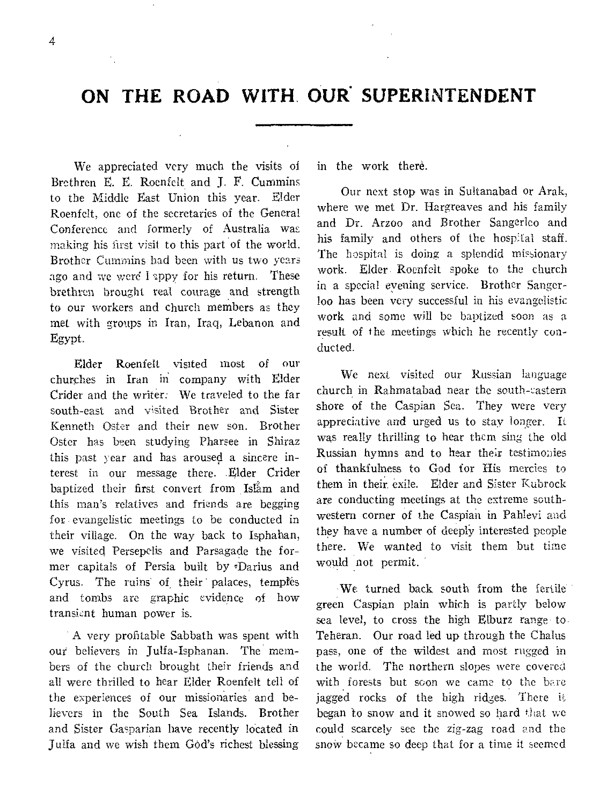# ON THE ROAD WITH. OUR<sup>'</sup> SUPERINTENDENT

We appreciated very much the visits of Brethren E. E. Roenfelt and J. F. Cummins to the Middle East Union this year. Elder Roenfelt, one of the secretaries of the General Conference **and formerly** of Australia was making his first visit to this part of the world. **Brother Cummins had** been with us two years ago **and we were** I **sppy for** his return. These brethren **brought** real courage and strength to our workers and church members as they met with groups in Iran, Iraq, Lebanon and Egypt.

Elder Roenfelt visited most of our churches in Iran **in** company with Elder Crider and the **writer: We** traveled to the far **south-east and visited Brother** and Sister Kenneth **Oster and their** new son. Brother Oster **has been** studying Pharsee in Shiraz **this past year and** has aroused a sincere interest **in** our message there. Elder Crider baptized their first convert from Islam and this **man's relatives** and friends are begging for **evangelistic** meetings to be conducted **in their village.** On the way back to Isphahan, we visited Persepelis and Parsagade the former capitals of Persia built by Darius and Cyrus. The ruins of their palaces, temples and tombs are graphic evidence of how transient human power is.

A very profitable Sabbath was spent with out **believers** in Julfa-Isphanan. The members **of the** church brought their friends and **all were thrilled to** hear Elder Roenfelt tell of **the experiences of our** missionaries and **believers in the South** Sea Islands. Brother **and** Sister Gasparian have recently located in Julia and we **wish them God's richest** blessing in the work there.

Our next stop was in Sultanabad or Arak, where we met Dr. Hargreaves and his family and Dr. Arzoo and Brother Sangerlco and his family and others of the hospital staff. The hospital is doing a splendid **missionary**  work. **Elder. Roenfelt spoke** to the **church in** a special **evening service. Brother Sangerloo has** been **very successful** in his **evangelistic**  work and some will be baptized **soon as a result** of the meetings which **he recently conducted.** 

We next visited our **Russian language church** in Rahmatabad near the **south-eastern shore of the** Caspian Sea. They **were very appreciative** and urged us to stay longer. It was really thrilling to hear them **sing** the old Russian hymns and to hear their testimonies of thankfulness to God for His **mercies to them** in their, exile. Elder and Sister **Kubrock**  are conducting meetings at the extreme **southwestern corner of the Caspian in Pahlevi and they have a number** of deeply **interested people there. We wanted to** visit them **but time would not permit.** 

**We turned back south from** the fertile' **green Caspian plain which is** partly **below**  sea level, to cross the high **Elburz** range. to. Teheran. Our road led up through **the Challis**  pass, one of the wildest and most **rugged in**  the world. The **northern slopes were covered**  with forests but soon we **came to the bare jagged** rocks of the **high ridges. There it began to** snow and it **snowed so hard that we**  could scarcely see the **zig-zag road and the**  snow became so **deep that for a time it seemed**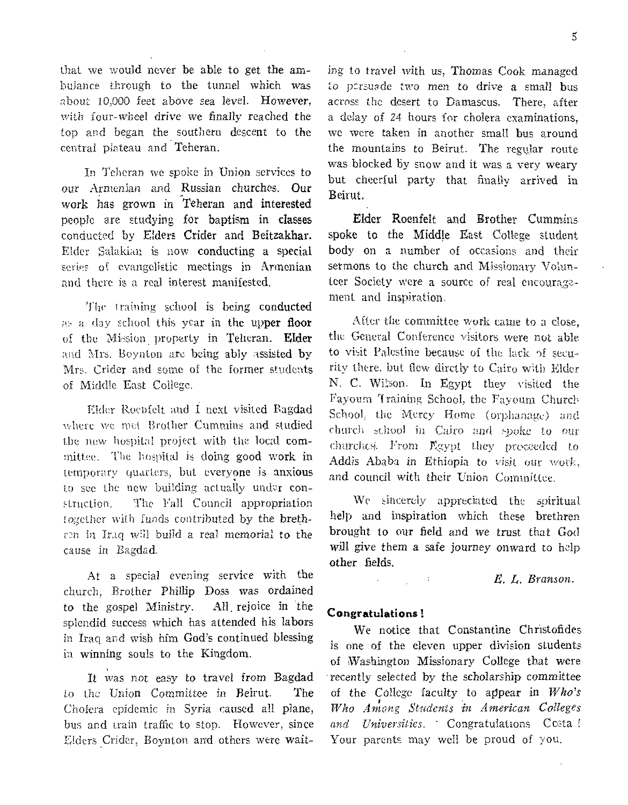that we would never be able to get the ambulance through to the tunnel which was about 10,000 *feet* above sea level. However, with four-wheel drive we finally reached the top and began the southern descent to the central plateau and Teheran.

In Teheran we spoke in Union services to our Armenian and Russian churches. Our work has grown in Teheran and interested people are studying for baptism in classes conducted by Elders Crider and Beitzakhar. Elder Salakian is now conducting a special series of evangelistic meetings in Armenian and there is a real interest manifested.

The training school is being conducted as a day school this year in the upper floor of the Mission property in Teheran. Elder and Mrs. Boynton arc being ably assisted by Mrs. Crider and some of the former students of Middle East College.

Elder Roenfelt and I next visited Bagdad where we met Brother Cummins and studied the new hospital project with the local committee. The hospital is doing good work in temporary quarters, but everyone is anxious to see the new building actually under construction. The Fall Council appropriation together with funds contributed by the brethin Iraq will build a real *memorial* to the cause in Bagdad.

At a special evening service with the church, Brother Philip Doss was ordained to the gospel Ministry. All. rejoice in 'the splendid success which has attended his labors in Iraq and wish him God's continued blessing in winning souls to the Kingdom.

It was not easy *to* travel from Bagdad to the Union Committee in Beirut. The Cholera epidemic in Syria caused all plane, bus and train traffic to stop. However, since Elders Crider, Boynton and others were waiting to *travel* with us, Thomas Cook managed to persuade two men to drive a small bus across the desert to Damascus. There, after a delay of 24 hours for cholera examinations, we were taken in another small bus around the mountains to Beirut. The regular route was blocked by snow and it was a very weary but cheerful party that finally arrived in Beirut.

Elder Roenfelt and Brother Cummins spoke to the Middle East College student body on a number of occasions and their sermons to the church and Missionary Volunteer Society were a source of real encouragement and inspiration.

After the committee work came to a close, the General Conference visitors were not able to visit Palestine because of the lack of security there, but flew dirctly to Cairo with Elder N. C. Wilson. In Egypt they visited the Fayoum Training School, the Fayoum Church School, the Mercy Home (orphanage) and church school in Cairo and spoke to our churclicsi. From Egypt they proceeded to Addis Ababa in Ethiopia to *visit* our work, and council with their Union Committee.

We sincerely appreciated the spiritual help and inspiration which these brethren brought to our field and we trust that God will give them a safe journey onward to help other fields.

*E. L. Branson.* 

#### Congratulations!

We notice that Constantine Christofides is one of the eleven upper division students of Washington Missionary College that were recently selected by the scholarship committee of the College faculty to appear in *Who's Who Among Students in American Colleges and Universities. -* Congratulations Costa I Your parents may well be proud of you.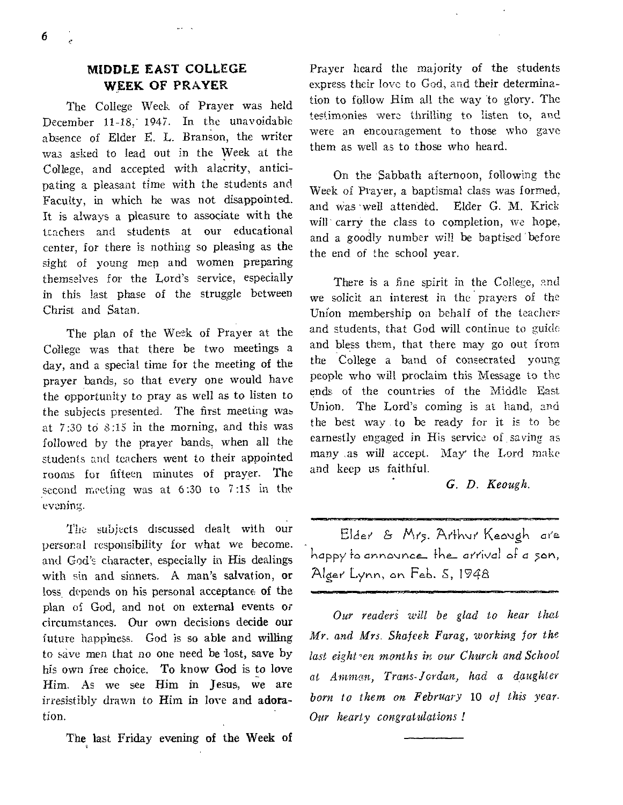## **MIDDLE EAST COLLEGE WEEK OF PRAYER**

 $\cdots$ 

The College Week of Prayer was held December 11-18, 1947. In the unavoidable absence of Elder E. L. Branson, the writer was asked to lead out in the Week at the College, and accepted with alacrity, anticipating a pleasant time with the students and Faculty, in which he was not disappointed. It is **always a** pleasure to associate with the **teachers** and students at our educational **center, for** there is nothing so pleasing as the sight **of** young men and women preparing themselves **for** the Lord's service, especially in this **last** phase of the struggle between Christ and Satan.

The plan of the Week of Prayer at the College was that there be two meetings a day, and a special time for the meeting of the prayer bands, so that every one would have the opportunity to pray as well as to listen to the subjects presented. The first meeting was at 7:30 **to 8:15** in the morning, and this was followed **by the** prayer bands, when all the students **and** teachers went to their appointed **rooms for fifteen** minutes of prayer. **The second meeting was** at 6:30 to 7:15 in the **evening.** 

**The** subjects discussed dealt with our personal responsibility for what we become. and **God's character,** especially in His dealings with sin and sinners. A man's salvation, or loss, depends on his personal **acceptance** of the plan of God, and not on external events or circumstances. Our own decisions **decide our**  future happiness. God is so able and willing to save men that no one need be lost, save by his own free choice. To know God is to love Him. As we see Him in Jesus, we are irresistibly drawn to Him in love and **adoration.** 

The last Friday evening **of the Week** of

Prayer heard the majority of the students express their love to God, and their determination to fellow Him all **the** way to glory. The testimonies **were** thrilling to listen **to, and**  were an **encouragement** to those who **gave them as well as to** those who heard.

On the Sabbath afternoon, following the Week Of Prayer, a baptismal class was formed, and Was well attended. Elder G. M. Krick will carry the class to completion, we hope, and a goodly number will be baptised 'before the end of the school year.

There is a fine spirit in **the College, and we** solicit an interest in the prayers **of the**  Union membership on behalf of **the teachers**  and students, that God will continue to **guide**  and bless them, that there may go out **from**  the College a band of consecrated **young**  people who will proclaim this **Message to the**  ends of the countries of the **Middle East**  Union. The Lord's coming is **at hand, and**  the best way to be ready for **it is to be**  earnestly engaged in His service **of saving as**  many as will accept. May' the **Lord make**  and keep us faithful.

## *G. D. Keough.*

Elder & Mrs. Arthur Keaugh are happy to announce the arrival of a son, Algae Lynn*,* or Feb. *S,* 1748

*Our readeri will be glad to hear that*  Mr. *and Mrs. Shafeek Farag, working for the last eight-en months in our Church and School*  at *Amman, Trans-Jordan, had a daughter born to them on February* **10** *of this year. Our hearty congratulations !* 

**6**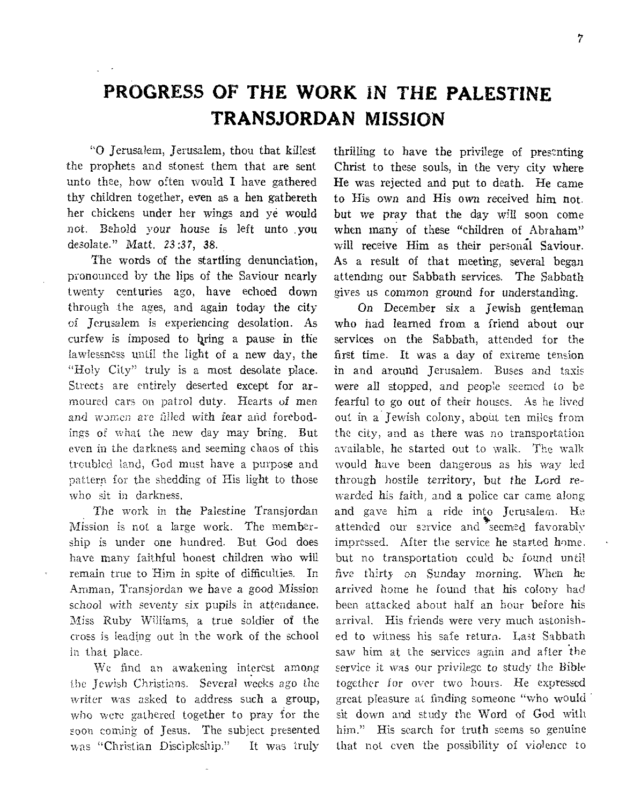# **PROGRESS OF THE WORK** IN **THE PALESTINE TRANSJORDAN MISSION**

**"0** Jerusalem, Jerusalem, thou that killest the prophets and stonest them that are sent unto thee, how often would I have gathered thy children together, even as a hen gathereth her chickens under her wings and *ye* would not. Behold your house is left unto you desolate." Matt. 23:37, 38.

The words of the startling denunciation, pronounced by the lips of the Saviour nearly **twenty centuries ago,** have echoed down **through the ages, and** again today the city **of Jerusalem is** experiencing desolation. As curfew is imposed to bring a pause in the **lawlessness until the** light of a new day, the **"Holy City" truly is** a most desolate place. **Streets are entirely** deserted except for **armoured cars on patrol duty. Hearts** of **men**  and women are filled with fear and forebod**ings of what the new day may bring.** But even **in the darkness and seeming chaos of** this troubled **land, God must have a purpose and**  pattern **for the shedding of His** light to **those who sit in darkness.** 

**The work in the Palestine Transjordan Mission is not a large work.** The **membership is under one hundred.** But **God** does **have many faithful** honest children **who** will **remain true to** Him **in spite** of difficulties. In **Amman, Transjordan we have a good Mission school with seventy six pupils in attendance. Miss Ruby Williams, a true soldier of** the **cross is leading out in the work of the school in that place.** 

**We find an awakening interest among the Jewish Christians. Several weeks ago the**  writer was asked to address such a group, **who were gathered together to pray for** the soon coming **of Jesus. The subject presented was "Christian Discipleship." It was truly**  thrilling to have the privilege of presenting Christ to these souls, in the very city where He was rejected and put to death. He came to His own and His own received him not. but we pray that the day will soon come when many of these "children of Abraham" will receive Him as their personal Saviour. As a result of that meeting, several began attending our Sabbath services. The Sabbath gives us common ground for understanding.

On December six a Jewish gentleman who had learned from a friend about our services on the Sabbath, attended for the first time. It was a day **of extreme tension**  in and around Jerusalem. **Buses and taxis**  were all stopped, and **people seemed to be**  fearful to go out of **their houses. As he lived**  out **in a** Jewish colony, **about ten miles from the city, and as there was no transportation available, he started out to walk. The walk would have been dangerous as his way led through hostile territory, but** *the* **Lord rewarded his faith, and a police car came along and gave him a ride into Jerusalem.** He **attended our service and seemed favorably impressed. After the service he started home. but no transportation could be found until five thirty on Sunday morning. When he arrived home he found that his colony had been attacked about half an hour before his arrival. His friends were very** much **astonished to witness his safe return. Last Sabbath saw him at the services again and after the service it was our privilege to study the Bible together for over two hours. He expressed great pleasure at finding someone "who would sit down and study the Word of God with him." His search for truth seems so genuine that not even the possibility of violence to**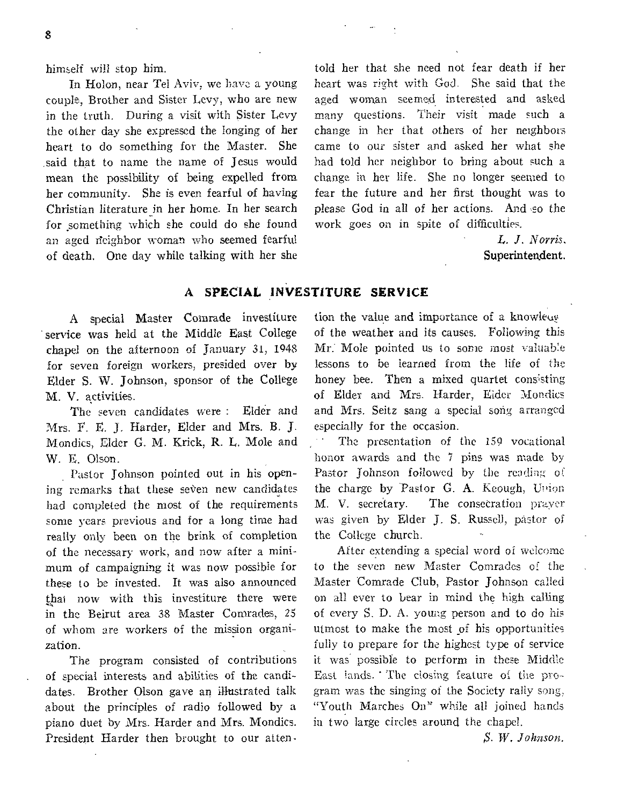himself will stop him.

In Holon, near Tel Aviv, we have a young couple, Brother and Sister Levy, who are new in the truth. During a visit with Sister Levy the other day she expressed the longing of her heart to do something for the Master. She said that to name the name of Jesus would mean the possibility of being expelled from her community. She is even fearful of having Christian literature in her home. In her search for something which she could do she found an aged neighbor woman who seemed fearful of death. One day while talking with her she

told her that she need not fear death if her heart was right with God. She said that the aged woman seemed interested and asked many questions. Their visit made such a change in her that others of her neighbors came to our sister and asked her what she had told her neighbor to bring about such a change in her life. She no longer seemed to fear the future and her first thought was to please God in all of her actions. And so the work goes on in spite of difficulties.

> L. *J. Norris.*  Superintendent.

## A SPECIAL INVESTITURE SERVICE

service was held at the Middle East College of the weather and its causes. Following this chapel on the afternoon of January 31, 1948 Mr: Mole pointed us to some most valuable for seven foreign workers, presided over by lessons to be learned from the life of the Elder S. W. Johnson, sponsor of the College honey bee. Then a mixed quartet consisting

The seven candidates were : Elder and Mrs. F. E. J. Harder, Elder and Mrs. B. J. especially for the occasion. Mondics, Elder G. M. Krick, R. L. Mole and - The presentation of the 159 vocational W. E. Olson. honor awards and the 7 pins was made by

ing remarks that these seven new candidates had completed the most of the requirements M. V. secretary. The consecration prayer some years previous and for a long time bad was given by Elder J. S. Russel), pastor of really only been on the brink of completion the College church. of the necessary work, and now after a mini- After extending a special word of welcome mum of campaigning it was now possible for to the seven new Master Comrades of the these to be invested. It was also announced Master Comrade Club, Pastor Johnson called that now with this investiture there were on all ever to bear in mind the high calling in the Beirut area 38 Master Comrades, 25 of every S. D. A. young person and to do his of whom are workers of the mission organi-utmost to make the most \_of his opportunities zation. The same state of the highest type of service  $f_{\text{full}}$  to prepare for the highest type of service

of special interests and abilities of the candi- East lands. ' The closing feature of the prodates. Brother Olson gave an illustrated talk gram was the singing of the Society rally song, about the principles of radio followed by a "Youth Marches On" while all joined hands piano duet by Mrs. Harder and Mrs. Mondics. in two large circles around the chapel. President Harder then brought to our atten-  $S. W. Johnson.$ 

A special Master Comrade investiture tion the value and importance of a knowleag M. V. activities.<br>The seven candidates were: Elder and and Mrs. Seitz sang a special song arranged

Pastor Johnson pointed out in his open-<br>
Pastor Johnson followed by the reading of<br>
remarks that these seven new candidates the charge by Pastor G. A. Keough, Union

The program consisted of contributions it was possible to perform in these Middle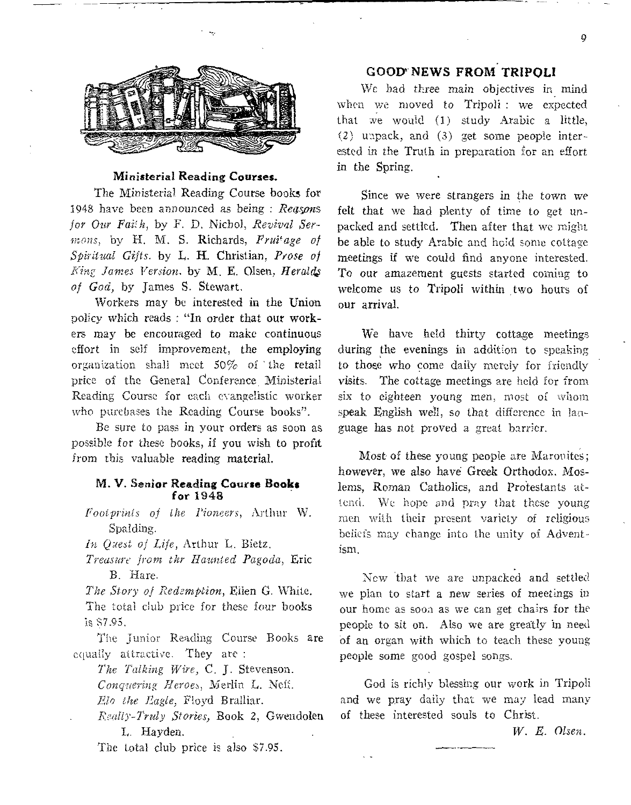

#### Ministerial Reading **Courses.**

The Ministerial Reading Course books for 1948 have been announced as being : *Rea.sons for* Our *Faith,* by F. D. Nichol, *Revival Sermons, by H. M. S. Richards, Fruitage of Spiritual Gifts.* by L. H. Christian, *Prose of King James Version.* by M. E. Olsen, *Heralds of God,* by James S. Stewart.

Workers may be interested in the Union policy which reads : "In order that our workers may be encouraged to make continuous effort in self improvement, the employing organization shall meet 50% of ' the retail price of the General Conference Ministerial Reading Course for each evangelistic worker who purchases the Reading Course books".

Be sure to pass in your orders as soon as possible for these books, if you wish to profit from this valuable reading material.

#### M. V. Senior Reading **Course Books for** 1948

*Footprints of the Pioneers,* Arthur W. Spalding.

*In Quest of Life,* Arthur I,. Bietz.

*Treasure from thr Haunted Pagoda,* Eric B. Hare.

*The Story of Redemption,* Eden *G.* White. The total club price for these four books is \$7.95.

The Junior Reading Course Books **are**  equally attractive. They are :

*The Talking Wire, C.* J. Stevenson. *Conquering Heroes,* Merlin L. Neff.

*Elo the Eagle,* Floyd Bralliar.

*Really-Truly Stories,* Book 2, Gwendolen L. Hayden.

The total club price is also \$7.95.

### GOOD' **NEWS FROM TRIPOLI**

**We** bad three main objectives *in* mind when we moved to Tripoli : we expected that we would (1) study Arabic a *little,*  (2) unpack, and (3) get some people interested in the Truth in preparation for an effort in the Spring.

Since we were strangers in the town we felt that we had plenty of time to get unpacked and settled. **Then after that** we might be able to study Arabic and hold some cottage meetings if we could find anyone interested. To our amazement guests started coming to welcome us to Tripoli within two hours of our arrival.

We have held thirty **cottage meetings**  during the evenings in addition to speaking to those who come daily merely for friendly visits. The cottage meetings are held for from six to eighteen young men, most of whom speak English well, so that difference in language has not proved a great barrier.

Most of these young people are Maronites; however, we also have Greek Orthodox, Moslems, Roman Catholics, and Protestants attend. We hope and pray that these young men with their present variety of religious beliefs may change into the unity of Adventism,

New that we are *unpacked* and settled we plan to start a new series of meetings in our home as soon as we can get chairs for the people to sit on. Also we are greatly in need of an organ with which to teach these young people some good gospel songs.

God is richly blessing our work in Tripoli and we pray daily that we may lead many of these interested souls to Christ.

*W. E. Olsen.*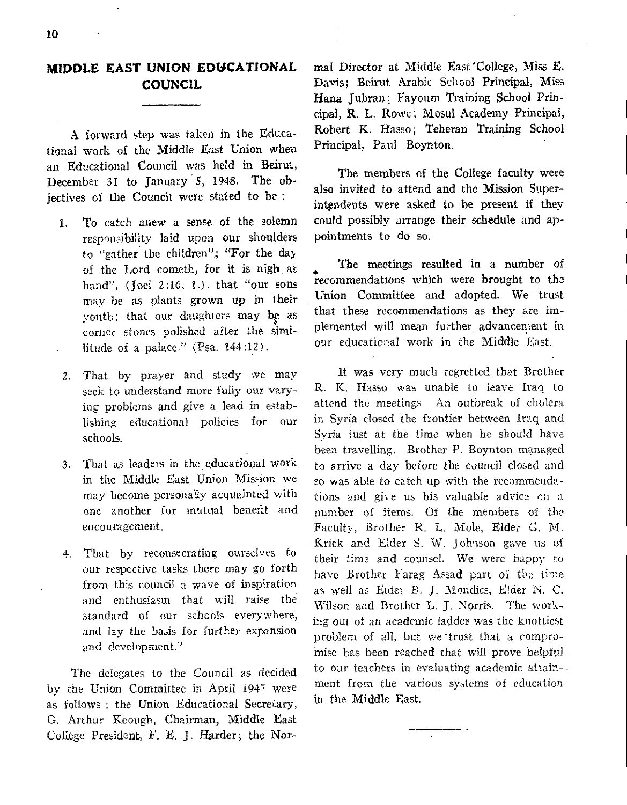## **MIDDLE EAST UNION EDUCATIONAL COUNCIL**

A forward step was taken in the Educational work of the Middle East Union when an Educational Council was held in Beirut, December 31 to January '5, 1948. The objectives of the Council were stated to be :

- 1. To catch anew a sense of the solemn responsibility laid upon our shoulders to "gather the children"; "For the day of the Lord cometh, for it is nigh at hand", (Joel 2:16, 1.), that "our sons may be as plants grown up in their youth; that our daughters may be as corner stones polished after the similitude of a palace." (Psa. 144:12).
- 2. That by prayer and study we may seek to understand more fully our varying problems and give a lead in establishing educational policies for our schools.
- 3. That as leaders in the educational work in the Middle East Union Mission we may become personally acquainted with one another for mutual benefit and encouragement.
- 4. That by reconsecrating ourselves to our respective tasks there may go forth from this council a wave of inspiration and enthusiasm that will raise the standard of our schools everywhere, and lay the basis for further expansion and development."

The delegates to the Council as decided by the Union Committee in April 1947 were as follows : the Union Educational Secretary, G. Arthur Keough, Chairman, Middle East College President, F. E. J. Harder; the Normal Director at Middle East'College, Miss E. Davis; Beirut Arabic School Principal, Miss Hana Jubran; Fayoum Training School Principal, R. L. Rowe; Mosul Academy Principal, Robert K. Hasso; Teheran Training School Principal, Paul Boynton.

The members of the College faculty were also invited to attend and the Mission Superintendents were asked to be present if they could possibly arrange their schedule and appointments to do so.

The meetings resulted in a number of The meetings resulted in a number of<br>recommendations which were brought to the Union Committee and adopted. We trust that these recommendations as they are implemented will mean further advancement in our educaticnal work in the Middle East.

It was very much regretted that Brother R. K. Hasso was unable to leave Iraq to attend the meetings An outbreak of cholera in Syria dosed the frontier between Iraq and Syria just at the time when he should have been travelling. Brother P. Boynton managed to arrive a day before the council closed and so was able to catch up with the recommendations and give us his valuable advice on a number of items. Of the members of the Faculty, Brother R. L. Mole, Elder *G.* M. Krick and Elder S. W. Johnson gave us of their time and counsel. We were happy to have Brother Farag Assad part of the time as well as Elder B. J. Mondics, E!der N. C. Wilson and Brother L. J. Norris. The working out of an academic ladder was the knottiest problem of all, but we trust that a compromise has been reached that will prove helpful to our teachers in evaluating academic attainment from the various systems of education in the Middle East.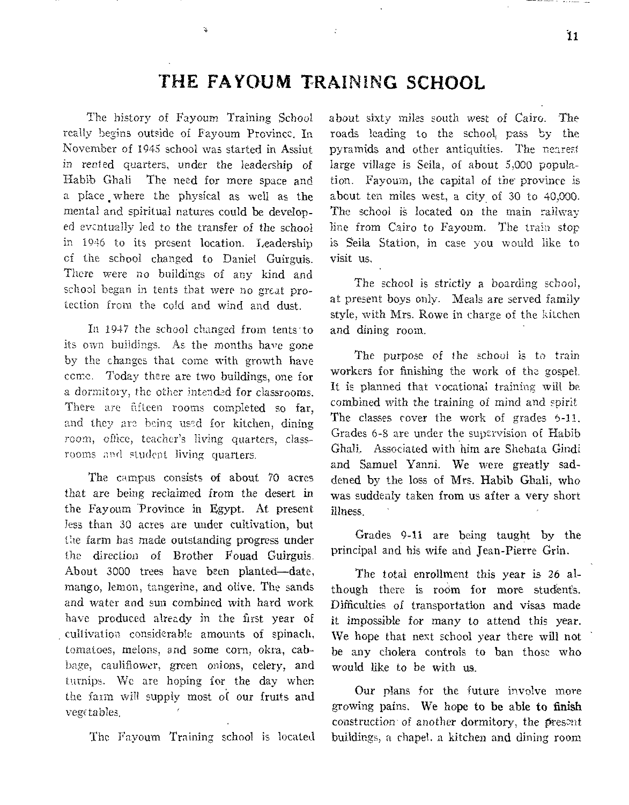# THE FAYOUM TRAINING SCHOOL

**The history of Fayoum Training School really begins outside of Fayoum Province. In November of 1945 school was started in Assiut in rented quarters, under the leadership of Habib Ghali The need for more space and a place .where the physical as well as the mental and spiritual natures could be developed evcntua]ly led to the transfer of** the school **in 1946 to its present** location. Leadership **of the school changed to Daniel Guirguis. There were no buildings of any kind** and **school began in tents that were no great** protection **from the cold and wind and dust.** 

i.

In 1947 the school changed from tents to **its own buildings. As the months have gone by the changes that come with growth have come. Today there are two buildings, one** for **a dormitory, the other intended for classrooms. There are fifteen rooms completed so far, and they are being used for kitchen, dining room, office, teacher's living quarters, class- rooms and student living quarters.** 

**The campus consists of** about 70 acres **that are being reclaimed** from the desert in **the Fayoum Province** in Egypt. At present **less than 30 acres are** under cultivation, but **the farm has made outstanding** progress **under the direction of Brother Fouad Guirguis. About 3000 trees have** been planted—date, **mango, lemon, tangerine,** and olive. The sands **and water and sun** combined with hard work **have produced already** in the first year **of cultivation considerable** amounts **of** spinach, **tomatoes, melons, and** some corn, **okra,** cabbage, **cauliflower, green** onions, **celery,** and **turnips. We are hoping for** the day when **the farm will supply most of** our fruits and **yew tables,** 

The Fayoum Training school is located

about **sixty miles south west** *of* **Cairo.** The roads **leading to the school, pass by the pyramids and other antiquities. The nearest**  large **village is Sella, of about 5,000 population. Fayoum, the capital of the province is**  about **ten miles west, a city of 30 to 40,000. The school is located on the main railway line from Cairo to Fayoum. The train stop is** Seila Station, **in case you would like to**  visit us,

**The school is** strictly **a boarding school, at present boys only.** Meals **are served family style, with** Mrs. Rowe in **charge of the kitchen and** dining room.

The *purpose* of **the school is to train**  workers for **finishing the work of the gospel.**  It is planned that **vocational training will be**  combined **with** *the* **training of mind and spirit**  The **classes cover the work of grades 6-11. Grades 6-8 are under the supervision of Habib Ghali. Associated** with him **are Shehata** Gindi and Samuel Yanni. We were greatly saddened by the loss of Mrs. Habib Ghali, who was suddenly taken from us after a very short illness.

**Grades** 9-11 are being taught by the principal and his wife and jean-Pierre Grin.

The total enrollment this year is 26 although there is room for more students. Difficulties of transportation and visas made it impossible for many to attend this year. **We** hope that next school year there will not be any cholera controls to ban those who would like to be with us.

Our plans for the future involve more growing **pains. We hope to be able to finish**  construction of another dormitory, the present buildings, **a** chapel. a kitchen and dining **room**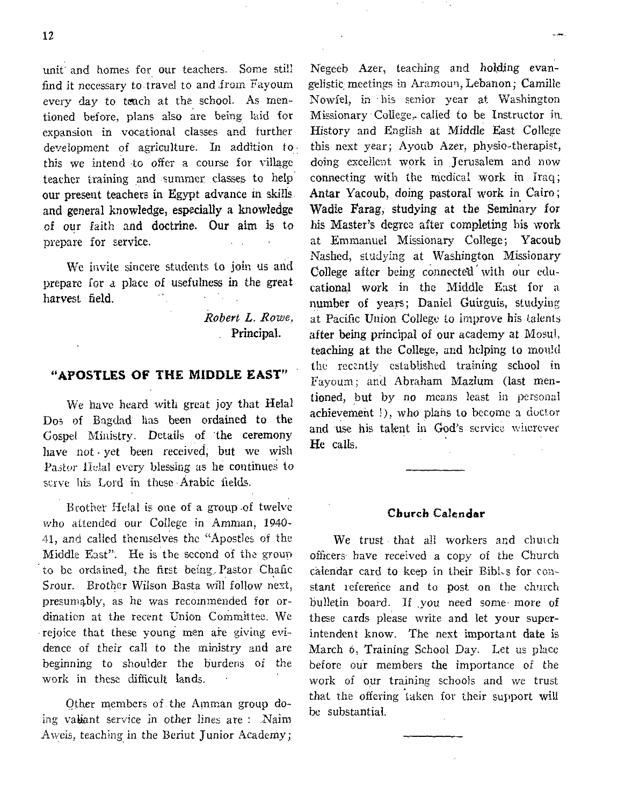unit and homes for our teachers. Some still find it necessary to travel to and irom Fayoum every day to teach at the school. As mentioned before, plans also are being laid for expansion in vocational classes and further development of agriculture. In addition to this we intend to offer a course for village teacher training and summer classes to help our present teachers in Egypt advance in skills and general knowledge, especially a knowledge of our faith and doctrine. Our aim is to prepare for service.

We invite sincere students to join us and prepare for a place of usefulness in the great harvest field.

> *Robert L. Rowe.*  Principal.

### **"APOSTLES OF THE MIDDLE EAST"**

We have heard with great joy that Helal Dos of Bagdad' has been ordained to the Gospel Ministry. Details of 'the ceremony have not • yet been received; but we wish Pastor Helal every blessing as he continues to serve his Lord in these Arabic fields.

Brother Helal is one of a group .of twelve who attended our College in Amman, 1940- 41, and called themselves the "Apostles of the Middle East"'. He is the second of the group to be ordained, the first being, Pastor Chafic Srour. Brother Wilson Basta will follow next, presumably, as he was recommended for ordination at the recent Union Committee. We rejoice that these young men are giving evidence of their call to the ministry and are beginning to shoulder the burdens of the work in these difficult lands.

Qther members of the Amman group doing valiant service in other lines are : .Naim Aweis, teaching in the Beriut Junior Academy;

Negeeb Azer, teaching and holding evangelistic meetings in Aramoun, Lebanon; Camille Nowfel, in his senior year at Washington Missionary College, called to be Instructor in. History and English at Middle East College this next year; Ayoub Azer, physio-therapist, doing excellent work in ,Jerusalem and now connecting with the medical work in Iraq; Antar Yacoub, doing pastoral work in Cairo; Wadie Farag, studying at the Seminary for his Master's degree after completing his work at Emmanuel Missionary College; Yacoub Nashed, studying at Washington Missionary College after being connected' with our educational work in the Middle East for a number of years; Daniel Guirguis, studying at Pacific Union College *to* improve his talents after being principal of our academy at Mosul, teaching at the College, and helping to mould the recently established training school in rayoum; and Abraham Mazlum (last mentioned, but by no means least in personal achievement !), who plans to become a doctor and use his talent in God's service wherever He calls.

#### **Church Calendar**

We trust that all workers and chuich officers have received a copy of the Church calendar card to keep in their Bibl.s for constant reference and to post on the church bulletin board. If you need some more of these cards please write and let your superintendent know. The next important date is March 6, Training School Day. Let us place before our members the importance of the work of our training schools and we trust that the offering taken for their support will be substantial.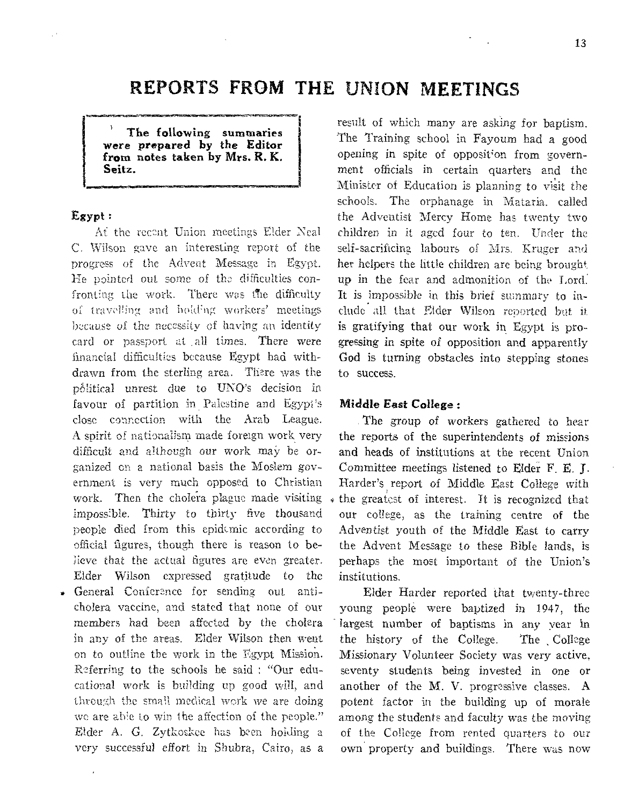# **REPORTS FROM THE UNION MEETINGS**

The following summaries *were* prepared by the Editor from notes taken by Mrs. R. K. Seitz.

#### Egypt :

Af the recent Union meetings Elder Neal C. Wilson gave an interesting report of the progress of the Advent Message in Egypt. He pointed out some of the difficulties confronting the work. There was the difficulty of travelling and holding workers' meetings because of the necessity of having an identity card or passport at all times. There were financial difficulties because Egypt had withdrawn from the sterling area. There was the political unrest due to UNO's decision in favour of partition in Palestine and Egypt's close connection with the Arab League. A spirit of nationalism made foreign work very difficult and although our work may be organized on a national basis the Moslem government is very much opposed to Christian work. Then the cholera plague made visiting impossible. Thirty to thirty five thousand people died from this epidemic according to official figures, though there is reason to believe that the actual figures are even greater. Elder Wilson expressed gratitude to the • General Conference for sending out anticholera vaccine, and stated that none of our members had been affected by the cholera in any of the areas. Elder Wilson then went on to outline the work in the Egypt Mission. Referring to the schools he said : "Our educational work is building up good will, and

through the small medical work we are doing we are able to win the affection of the people." Elder A. *G.* Zytkoskee has been holding a very successful effort in Shubra, Cairo, as a result of which many are asking for baptism. The Training school in Fayoum had a good opening in spite of opposition from government officials in certain quarters and the Minister of Education is planning to visit the schools. The orphanage in Mataria. called the Adventist Mercy Home has twenty two children in it aged four to ten. Under the self-sacrificing labours of Mrs. Kruger and her helpers the little children are being brought up in the fear and admonition of the Lord: It is impossible in this brief summary to include all that Elder Wilson reported but it is gratifying that our work in Egypt is progressing in spite of opposition and apparently God is turning obstacles into stepping stones to success.

#### Middle East College :

The group of workers gathered to hear the reports of the superintendents of missions and heads of institutions at the recent Union Committee meetings listened to Elder F. E. J. Harder's report of Middle East College with the greatest of interest. It is recognized that our college, as the training centre of the Adventist youth of the Middle East to carry the Advent Message to these Bible lands, is perhaps the most important of the Union's institutions.

Elder Harder reported that twenty-three young people were baptized in 1947, the largest number of baptisms in any year in the history of the College. The , College Missionary Volunteer Society was very active, seventy students being invested in one or another of the M. V. progressive classes. A potent factor in the building up of morale among the students and faculty was the moving of the College from rented quarters to our own property and buildings. There was now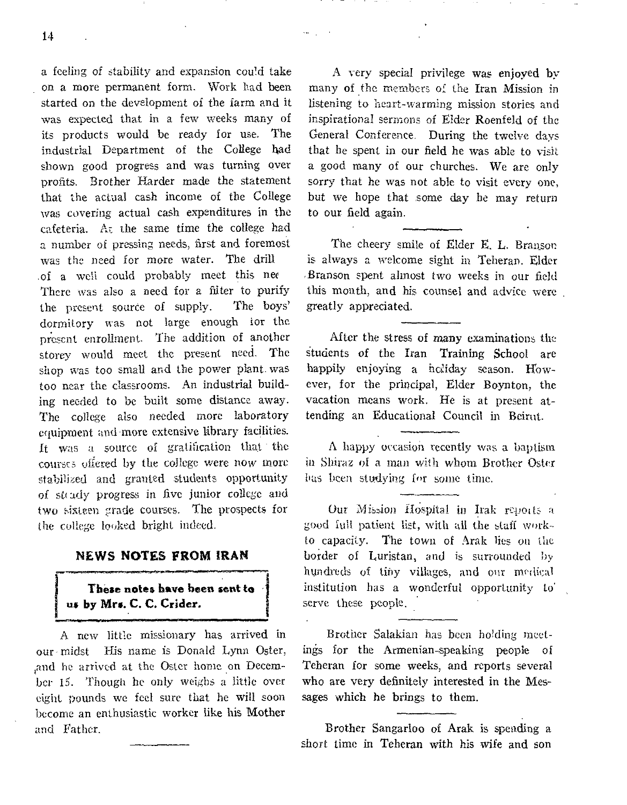a feeling of stability and expansion could take on a more permanent form. Work had been started on the development of the farm and it was expected that in a few weeks many of its products would be ready for use. The industrial Department of the College had shown good progress and was turning over profits. Brother Harder made the statement that the actual cash income of the College was covering actual cash expenditures in the cafeteria. Ar the same time the college **had a** number of pressing needs, first and foremost was the need for more water. The drill .of a well could probably meet this nee **There was also a need** for a filter to purify the **present** source of supply. The boys' **dormitory** was not large enough for **the piesent enrollment. The addition** of **another storey** would **meet the present** need. The shop was too **small and** the power plant. was too near the **classrooms.** An industrial building needed **to be built** some distance away. **The college also** needed more **laboratory equipment and-more extensive library facilities.**  It was a source of gratification that the courses offered by the college were now more **stabilized and granted students** opportunity of steady progress in five junior college and **two sixteen grade courses. The** prospects for **the college looked bright indeed.** 

#### **NEWS NOTES FROM IRAN**

## **These notes have been sent to us by Mrs. C. C. Crider.**

A new little missionary has arrived in our - **midst** His **name is** Donald Lynn Oster, sand **he arrived** at the Oster **home on** December **15.** Though he **only weighs a** little over eight pounds we feel sure **that he** will soon become **an enthusiastic worker like his Mother**  and Father.

A very **special privilege was enjoyed by many of the members of** the **Iran Mission** in listening to **heart-warming** mission stories and inspirational **sermons** of Elder Roenfeld of the General **Conference. During** the twelve days that he spent in our field he was able to visit a good many of our churches. We are only sorry that he was not able to visit every one, **but we hope that some day he may return to our field again.** 

alle i

The **cheery** smile of Elder E. **L.** Bran\_son is always a welcome sight in Teheran. Elder .Branson spent almost two weeks in our field this month, and his counsel and advice were greatly appreciated.

After the stress **of many examinations the Students of the Iran Training School are**  happily enjoying a holiday season. However, for the principal, Elder Boynton, the vacation means work. He is at present attending an Educational Council in Beirut.

**A happy occasion recently** was a **baptism in Shiraz of a man with whom Brother Oster Las been studying** for some time.

Our Mission Hospital in Irak revolts a good full **patient list, with all the staff workto capacity. The town of Arak lies ou the border of Luristan, and is surrounded by hundreds** of tiny villages, and our **medical institution has a wonderful opportunity to" serve these people.** 

Brother Salakian has been holding **meetings for the** Armenian-speaking people of Teheran for some weeks, and reports several who are very definitely interested in the Messages which he brings to them.

Brother Sangarloo of Arak is spending a short time in **Teheran with his wife and son**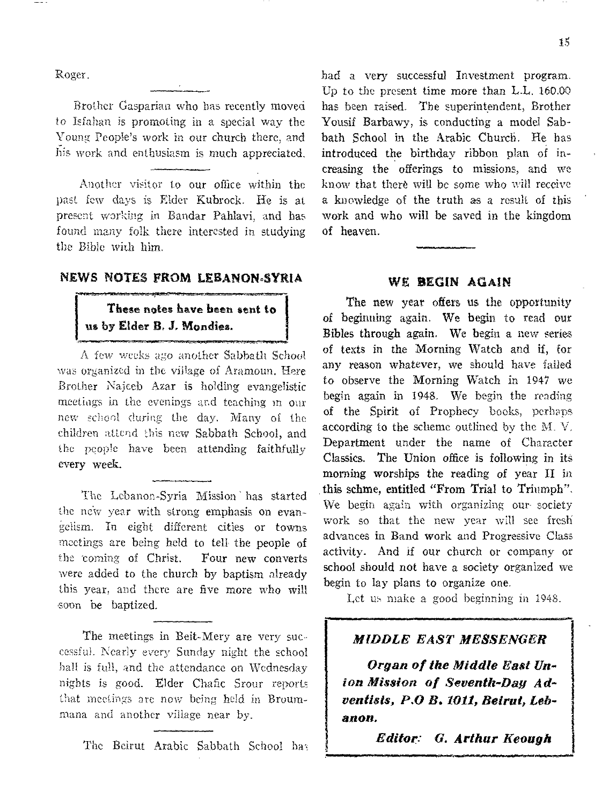Roger.

I

Brother Gasparian who has recently moved to Isfahan is promoting in a special way the Young People's work in our church there, and his work and enthusiasm is much appreciated.

Another visitor to our office within the past few days is Elder Kubrock. He is at present working in Bandar Pahlavi, and has. found many folk there interested in studying the Bible with him.

## NEWS NOTES FROM LEBANON-SYRIA

## These notes have been sent to us by Elder B. J. Mondies.

A few weeks *ago* another Sabbath School was organized in the village of Aramoun. Here Brother Najceb Azar is holding evangelistic meetings in the evenings and teaching in our new school during the day. Many of the children attend this new Sabbath School, and the people have been attending faithfully every week.

The Lebanon-Syria Mission has started the new year with strong emphasis on evangelism. In eight different cities or towns meetings are being held to tell the people of the coming of Christ. Four new converts were added to the church by baptism already this year, and there are five more who will soon be baptized.

The meetings in Beit-Mery are very successful. Nearly every Sunday night the school hall is full, and the attendance on Wednesday nights is good. Elder Chafic Srour reports that meetings are now being held in Broummana and another village near by.

The Beirut Arabic Sabbath School has

had a very successful Investment program. Up to the present time more than L.L, 160.00 has been raised. The superintendent, Brother Yousif Barbawy, is conducting a model Sabbath School in the Arabic Church. He has introduced the birthday ribbon plan of increasing the offerings to missions, and we know that there will be some who will receive a knowledge of the truth as a result of this work and who will be saved in the kingdom of heaven.

#### WE BEGIN AGAIN

The new year offers us the opportunity of beginning again. We begin to read our Bibles through again. We begin a new series of texts in the Morning Watch and if, for any reason whatever, we should have failed to observe the Morning Watch in 1947 we begin again in 1948. We begin the reading of the Spirit of Prophecy books, perhaps according to the scheme outlined by the M. V. Department under the name of Character Classics. The Union office is following in its morning worships the reading of year II in this schme, entitled "From Trial to Triumph". We begin again with organizing our- society work so that the new year will see fresh advances in Band work and Progressive Class activity. And if our church or company or school should not have a society organized we begin to lay plans to organize one.

Let us make a good beginning in 1948.

## *MIDDLE EAST MESSENGER*

*Organ of the Middle East Union Mission of Seventh-Day Adventists, P.O B. 1011, Beirut, Lebanon.* 

*Editor: G. Arthur Keough*